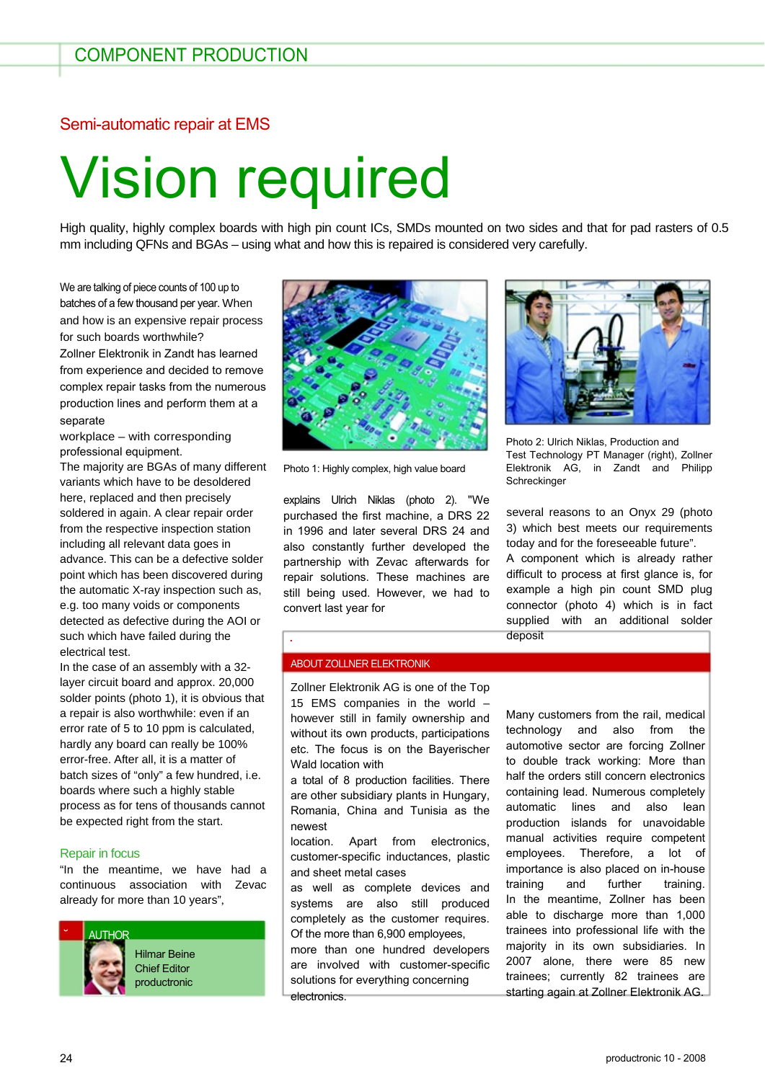### Semi-automatic repair at EMS

# Vision required

High quality, highly complex boards with high pin count ICs, SMDs mounted on two sides and that for pad rasters of 0.5 mm including QFNs and BGAs – using what and how this is repaired is considered very carefully.

We are talking of piece counts of 100 up to batches of a few thousand per year. When and how is an expensive repair process for such boards worthwhile?

Zollner Elektronik in Zandt has learned from experience and decided to remove complex repair tasks from the numerous production lines and perform them at a separate

workplace – with corresponding professional equipment.

The majority are BGAs of many different variants which have to be desoldered here, replaced and then precisely soldered in again. A clear repair order from the respective inspection station including all relevant data goes in advance. This can be a defective solder point which has been discovered during the automatic X-ray inspection such as, e.g. too many voids or components detected as defective during the AOI or such which have failed during the electrical test.

In the case of an assembly with a 32 layer circuit board and approx. 20,000 solder points (photo 1), it is obvious that a repair is also worthwhile: even if an error rate of 5 to 10 ppm is calculated, hardly any board can really be 100% error-free. After all, it is a matter of batch sizes of "only" a few hundred, i.e. boards where such a highly stable process as for tens of thousands cannot be expected right from the start.

#### Repair in focus

"In the meantime, we have had a continuous association with Zevac already for more than 10 years",





Photo 1: Highly complex, high value board

explains Ulrich Niklas (photo 2). "We purchased the first machine, a DRS 22 in 1996 and later several DRS 24 and also constantly further developed the partnership with Zevac afterwards for repair solutions. These machines are still being used. However, we had to convert last year for



Photo 2: Ulrich Niklas, Production and Test Technology PT Manager (right), Zollner Elektronik AG, in Zandt and Philipp Schreckinger

several reasons to an Onyx 29 (photo 3) which best meets our requirements today and for the foreseeable future".

A component which is already rather difficult to process at first glance is, for example a high pin count SMD plug connector (photo 4) which is in fact supplied with an additional solder deposit

#### ABOUT ZOLLNER ELEKTRONIK

˙

Zollner Elektronik AG is one of the Top 15 EMS companies in the world – however still in family ownership and without its own products, participations etc. The focus is on the Bayerischer Wald location with

a total of 8 production facilities. There are other subsidiary plants in Hungary, Romania, China and Tunisia as the newest

location. Apart from electronics, customer-specific inductances, plastic and sheet metal cases

as well as complete devices and systems are also still produced completely as the customer requires. Of the more than 6,900 employees,

more than one hundred developers are involved with customer-specific solutions for everything concerning electronics.

Many customers from the rail, medical technology and also from the automotive sector are forcing Zollner to double track working: More than half the orders still concern electronics containing lead. Numerous completely automatic lines and also lean production islands for unavoidable manual activities require competent employees. Therefore, a lot of importance is also placed on in-house training and further training. In the meantime, Zollner has been able to discharge more than 1,000 trainees into professional life with the majority in its own subsidiaries. In 2007 alone, there were 85 new trainees; currently 82 trainees are starting again at Zollner Elektronik AG.